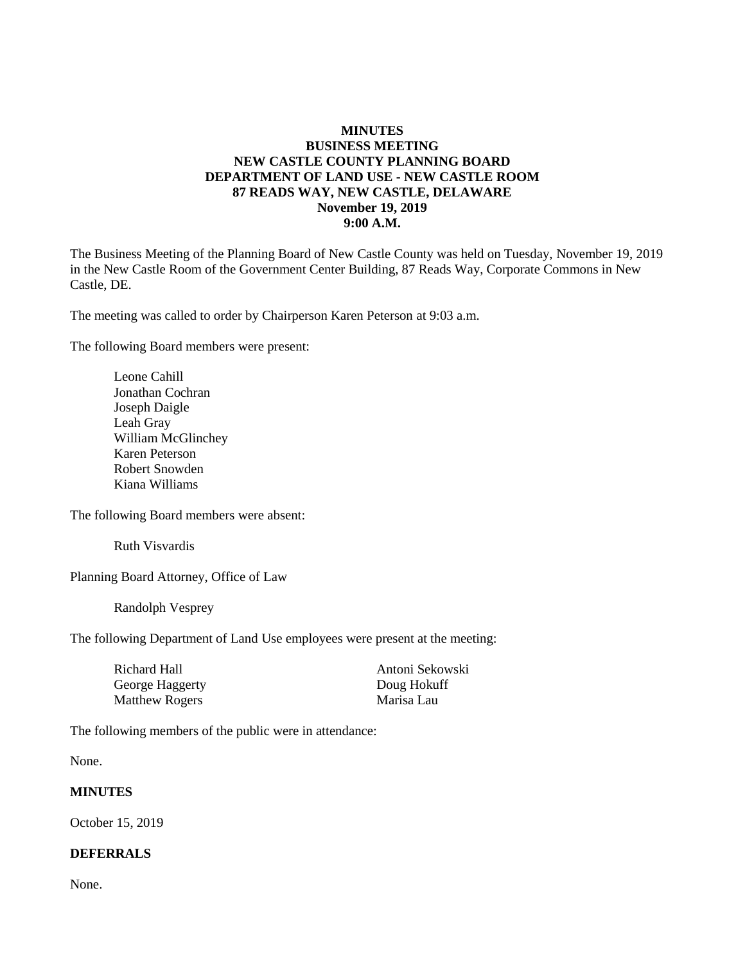#### **MINUTES BUSINESS MEETING NEW CASTLE COUNTY PLANNING BOARD DEPARTMENT OF LAND USE - NEW CASTLE ROOM 87 READS WAY, NEW CASTLE, DELAWARE November 19, 2019 9:00 A.M.**

The Business Meeting of the Planning Board of New Castle County was held on Tuesday, November 19, 2019 in the New Castle Room of the Government Center Building, 87 Reads Way, Corporate Commons in New Castle, DE.

The meeting was called to order by Chairperson Karen Peterson at 9:03 a.m.

The following Board members were present:

Leone Cahill Jonathan Cochran Joseph Daigle Leah Gray William McGlinchey Karen Peterson Robert Snowden Kiana Williams

The following Board members were absent:

Ruth Visvardis

Planning Board Attorney, Office of Law

Randolph Vesprey

The following Department of Land Use employees were present at the meeting:

| Richard Hall          | Antoni Sekowski |
|-----------------------|-----------------|
| George Haggerty       | Doug Hokuff     |
| <b>Matthew Rogers</b> | Marisa Lau      |

The following members of the public were in attendance:

None.

#### **MINUTES**

October 15, 2019

#### **DEFERRALS**

None.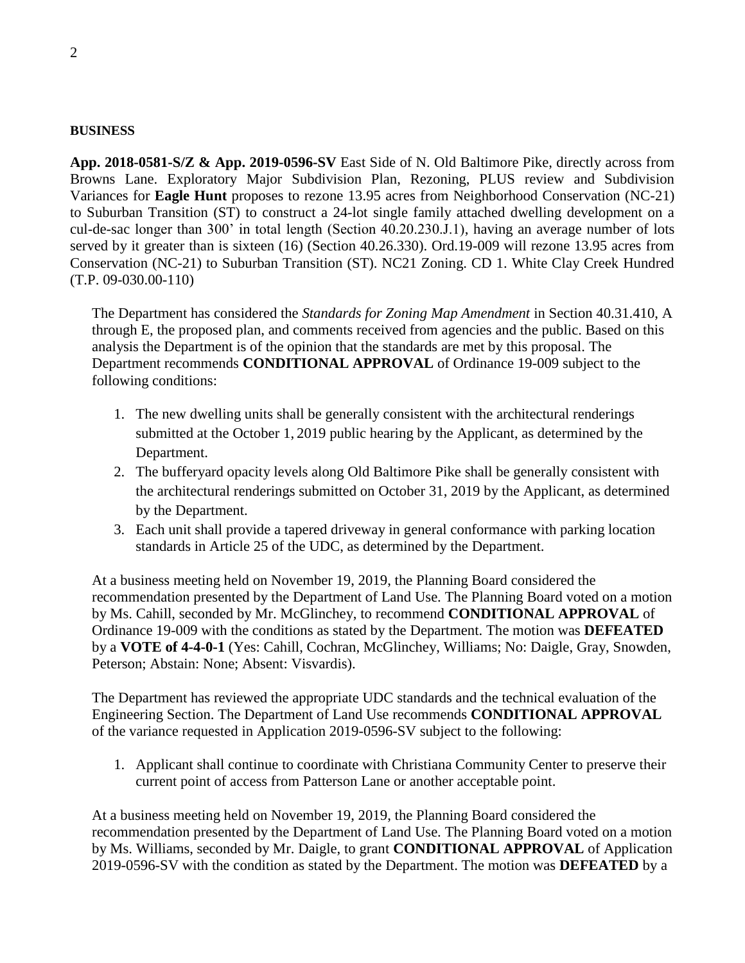#### **BUSINESS**

**App. 2018-0581-S/Z & App. 2019-0596-SV** East Side of N. Old Baltimore Pike, directly across from Browns Lane. Exploratory Major Subdivision Plan, Rezoning, PLUS review and Subdivision Variances for **Eagle Hunt** proposes to rezone 13.95 acres from Neighborhood Conservation (NC-21) to Suburban Transition (ST) to construct a 24-lot single family attached dwelling development on a cul-de-sac longer than 300' in total length (Section 40.20.230.J.1), having an average number of lots served by it greater than is sixteen (16) (Section 40.26.330). Ord.19-009 will rezone 13.95 acres from Conservation (NC-21) to Suburban Transition (ST). NC21 Zoning. CD 1. White Clay Creek Hundred (T.P. 09-030.00-110)

The Department has considered the *Standards for Zoning Map Amendment* in Section 40.31.410, A through E, the proposed plan, and comments received from agencies and the public. Based on this analysis the Department is of the opinion that the standards are met by this proposal. The Department recommends **CONDITIONAL APPROVAL** of Ordinance 19-009 subject to the following conditions:

- 1. The new dwelling units shall be generally consistent with the architectural renderings submitted at the October 1, 2019 public hearing by the Applicant, as determined by the Department.
- 2. The bufferyard opacity levels along Old Baltimore Pike shall be generally consistent with the architectural renderings submitted on October 31, 2019 by the Applicant, as determined by the Department.
- 3. Each unit shall provide a tapered driveway in general conformance with parking location standards in Article 25 of the UDC, as determined by the Department.

At a business meeting held on November 19, 2019, the Planning Board considered the recommendation presented by the Department of Land Use. The Planning Board voted on a motion by Ms. Cahill, seconded by Mr. McGlinchey, to recommend **CONDITIONAL APPROVAL** of Ordinance 19-009 with the conditions as stated by the Department. The motion was **DEFEATED** by a **VOTE of 4-4-0-1** (Yes: Cahill, Cochran, McGlinchey, Williams; No: Daigle, Gray, Snowden, Peterson; Abstain: None; Absent: Visvardis).

The Department has reviewed the appropriate UDC standards and the technical evaluation of the Engineering Section. The Department of Land Use recommends **CONDITIONAL APPROVAL** of the variance requested in Application 2019-0596-SV subject to the following:

1. Applicant shall continue to coordinate with Christiana Community Center to preserve their current point of access from Patterson Lane or another acceptable point.

At a business meeting held on November 19, 2019, the Planning Board considered the recommendation presented by the Department of Land Use. The Planning Board voted on a motion by Ms. Williams, seconded by Mr. Daigle, to grant **CONDITIONAL APPROVAL** of Application 2019-0596-SV with the condition as stated by the Department. The motion was **DEFEATED** by a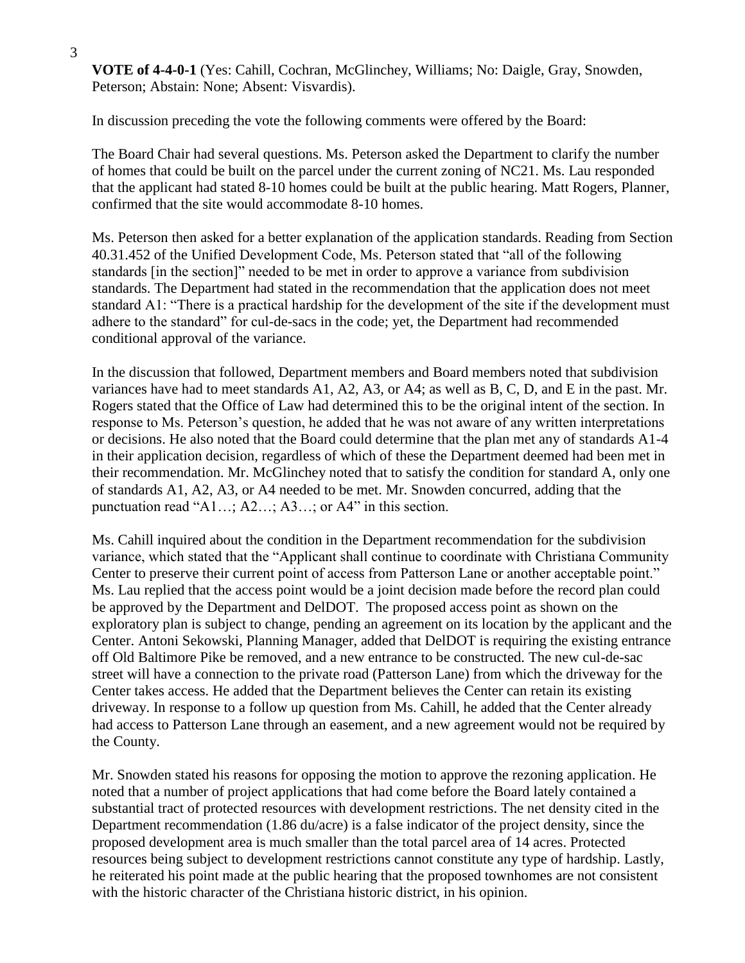**VOTE of 4-4-0-1** (Yes: Cahill, Cochran, McGlinchey, Williams; No: Daigle, Gray, Snowden, Peterson; Abstain: None; Absent: Visvardis).

In discussion preceding the vote the following comments were offered by the Board:

The Board Chair had several questions. Ms. Peterson asked the Department to clarify the number of homes that could be built on the parcel under the current zoning of NC21. Ms. Lau responded that the applicant had stated 8-10 homes could be built at the public hearing. Matt Rogers, Planner, confirmed that the site would accommodate 8-10 homes.

Ms. Peterson then asked for a better explanation of the application standards. Reading from Section 40.31.452 of the Unified Development Code, Ms. Peterson stated that "all of the following standards [in the section]" needed to be met in order to approve a variance from subdivision standards. The Department had stated in the recommendation that the application does not meet standard A1: "There is a practical hardship for the development of the site if the development must adhere to the standard" for cul-de-sacs in the code; yet, the Department had recommended conditional approval of the variance.

In the discussion that followed, Department members and Board members noted that subdivision variances have had to meet standards A1, A2, A3, or A4; as well as B, C, D, and E in the past. Mr. Rogers stated that the Office of Law had determined this to be the original intent of the section. In response to Ms. Peterson's question, he added that he was not aware of any written interpretations or decisions. He also noted that the Board could determine that the plan met any of standards A1-4 in their application decision, regardless of which of these the Department deemed had been met in their recommendation. Mr. McGlinchey noted that to satisfy the condition for standard A, only one of standards A1, A2, A3, or A4 needed to be met. Mr. Snowden concurred, adding that the punctuation read "A1…; A2…; A3…; or A4" in this section.

Ms. Cahill inquired about the condition in the Department recommendation for the subdivision variance, which stated that the "Applicant shall continue to coordinate with Christiana Community Center to preserve their current point of access from Patterson Lane or another acceptable point." Ms. Lau replied that the access point would be a joint decision made before the record plan could be approved by the Department and DelDOT. The proposed access point as shown on the exploratory plan is subject to change, pending an agreement on its location by the applicant and the Center. Antoni Sekowski, Planning Manager, added that DelDOT is requiring the existing entrance off Old Baltimore Pike be removed, and a new entrance to be constructed. The new cul-de-sac street will have a connection to the private road (Patterson Lane) from which the driveway for the Center takes access. He added that the Department believes the Center can retain its existing driveway. In response to a follow up question from Ms. Cahill, he added that the Center already had access to Patterson Lane through an easement, and a new agreement would not be required by the County.

Mr. Snowden stated his reasons for opposing the motion to approve the rezoning application. He noted that a number of project applications that had come before the Board lately contained a substantial tract of protected resources with development restrictions. The net density cited in the Department recommendation (1.86 du/acre) is a false indicator of the project density, since the proposed development area is much smaller than the total parcel area of 14 acres. Protected resources being subject to development restrictions cannot constitute any type of hardship. Lastly, he reiterated his point made at the public hearing that the proposed townhomes are not consistent with the historic character of the Christiana historic district, in his opinion.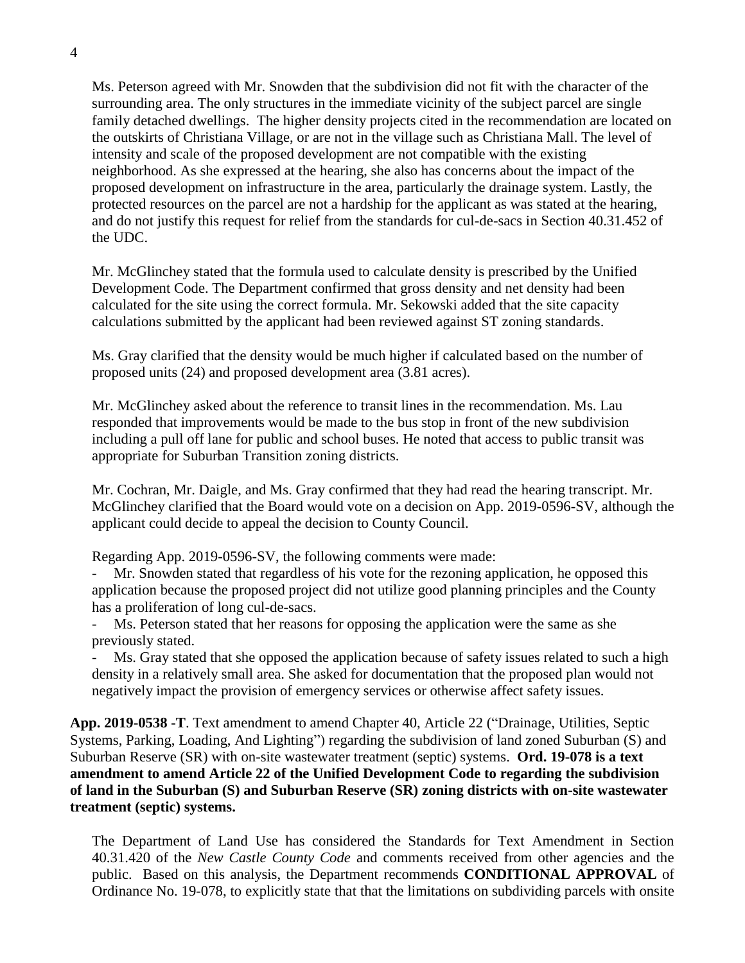Ms. Peterson agreed with Mr. Snowden that the subdivision did not fit with the character of the surrounding area. The only structures in the immediate vicinity of the subject parcel are single family detached dwellings. The higher density projects cited in the recommendation are located on the outskirts of Christiana Village, or are not in the village such as Christiana Mall. The level of intensity and scale of the proposed development are not compatible with the existing neighborhood. As she expressed at the hearing, she also has concerns about the impact of the proposed development on infrastructure in the area, particularly the drainage system. Lastly, the protected resources on the parcel are not a hardship for the applicant as was stated at the hearing, and do not justify this request for relief from the standards for cul-de-sacs in Section 40.31.452 of the UDC.

Mr. McGlinchey stated that the formula used to calculate density is prescribed by the Unified Development Code. The Department confirmed that gross density and net density had been calculated for the site using the correct formula. Mr. Sekowski added that the site capacity calculations submitted by the applicant had been reviewed against ST zoning standards.

Ms. Gray clarified that the density would be much higher if calculated based on the number of proposed units (24) and proposed development area (3.81 acres).

Mr. McGlinchey asked about the reference to transit lines in the recommendation. Ms. Lau responded that improvements would be made to the bus stop in front of the new subdivision including a pull off lane for public and school buses. He noted that access to public transit was appropriate for Suburban Transition zoning districts.

Mr. Cochran, Mr. Daigle, and Ms. Gray confirmed that they had read the hearing transcript. Mr. McGlinchey clarified that the Board would vote on a decision on App. 2019-0596-SV, although the applicant could decide to appeal the decision to County Council.

Regarding App. 2019-0596-SV, the following comments were made:

Mr. Snowden stated that regardless of his vote for the rezoning application, he opposed this application because the proposed project did not utilize good planning principles and the County has a proliferation of long cul-de-sacs.

- Ms. Peterson stated that her reasons for opposing the application were the same as she previously stated.

- Ms. Gray stated that she opposed the application because of safety issues related to such a high density in a relatively small area. She asked for documentation that the proposed plan would not negatively impact the provision of emergency services or otherwise affect safety issues.

**App. 2019-0538 -T**. Text amendment to amend Chapter 40, Article 22 ("Drainage, Utilities, Septic Systems, Parking, Loading, And Lighting") regarding the subdivision of land zoned Suburban (S) and Suburban Reserve (SR) with on-site wastewater treatment (septic) systems. **Ord. 19-078 is a text amendment to amend Article 22 of the Unified Development Code to regarding the subdivision of land in the Suburban (S) and Suburban Reserve (SR) zoning districts with on-site wastewater treatment (septic) systems.**

The Department of Land Use has considered the Standards for Text Amendment in Section 40.31.420 of the *New Castle County Code* and comments received from other agencies and the public. Based on this analysis, the Department recommends **CONDITIONAL APPROVAL** of Ordinance No. 19-078, to explicitly state that that the limitations on subdividing parcels with onsite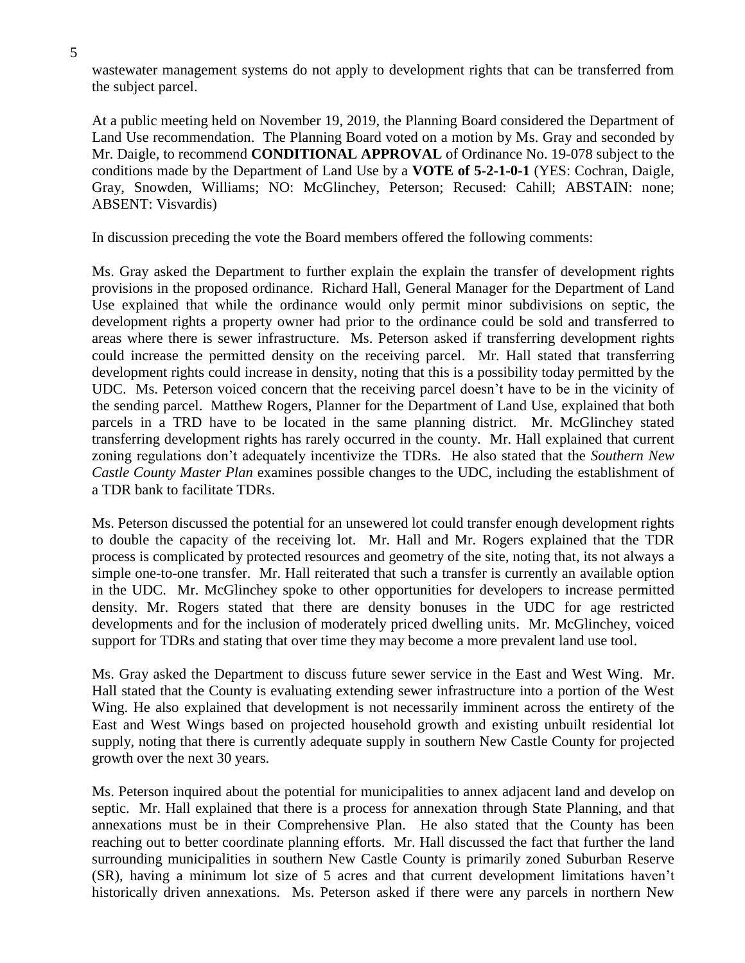wastewater management systems do not apply to development rights that can be transferred from the subject parcel.

At a public meeting held on November 19, 2019, the Planning Board considered the Department of Land Use recommendation. The Planning Board voted on a motion by Ms. Gray and seconded by Mr. Daigle, to recommend **CONDITIONAL APPROVAL** of Ordinance No. 19-078 subject to the conditions made by the Department of Land Use by a **VOTE of 5-2-1-0-1** (YES: Cochran, Daigle, Gray, Snowden, Williams; NO: McGlinchey, Peterson; Recused: Cahill; ABSTAIN: none; ABSENT: Visvardis)

In discussion preceding the vote the Board members offered the following comments:

Ms. Gray asked the Department to further explain the explain the transfer of development rights provisions in the proposed ordinance. Richard Hall, General Manager for the Department of Land Use explained that while the ordinance would only permit minor subdivisions on septic, the development rights a property owner had prior to the ordinance could be sold and transferred to areas where there is sewer infrastructure. Ms. Peterson asked if transferring development rights could increase the permitted density on the receiving parcel. Mr. Hall stated that transferring development rights could increase in density, noting that this is a possibility today permitted by the UDC. Ms. Peterson voiced concern that the receiving parcel doesn't have to be in the vicinity of the sending parcel. Matthew Rogers, Planner for the Department of Land Use, explained that both parcels in a TRD have to be located in the same planning district. Mr. McGlinchey stated transferring development rights has rarely occurred in the county. Mr. Hall explained that current zoning regulations don't adequately incentivize the TDRs. He also stated that the *Southern New Castle County Master Plan* examines possible changes to the UDC, including the establishment of a TDR bank to facilitate TDRs.

Ms. Peterson discussed the potential for an unsewered lot could transfer enough development rights to double the capacity of the receiving lot. Mr. Hall and Mr. Rogers explained that the TDR process is complicated by protected resources and geometry of the site, noting that, its not always a simple one-to-one transfer. Mr. Hall reiterated that such a transfer is currently an available option in the UDC. Mr. McGlinchey spoke to other opportunities for developers to increase permitted density. Mr. Rogers stated that there are density bonuses in the UDC for age restricted developments and for the inclusion of moderately priced dwelling units. Mr. McGlinchey, voiced support for TDRs and stating that over time they may become a more prevalent land use tool.

Ms. Gray asked the Department to discuss future sewer service in the East and West Wing. Mr. Hall stated that the County is evaluating extending sewer infrastructure into a portion of the West Wing. He also explained that development is not necessarily imminent across the entirety of the East and West Wings based on projected household growth and existing unbuilt residential lot supply, noting that there is currently adequate supply in southern New Castle County for projected growth over the next 30 years.

Ms. Peterson inquired about the potential for municipalities to annex adjacent land and develop on septic. Mr. Hall explained that there is a process for annexation through State Planning, and that annexations must be in their Comprehensive Plan. He also stated that the County has been reaching out to better coordinate planning efforts. Mr. Hall discussed the fact that further the land surrounding municipalities in southern New Castle County is primarily zoned Suburban Reserve (SR), having a minimum lot size of 5 acres and that current development limitations haven't historically driven annexations. Ms. Peterson asked if there were any parcels in northern New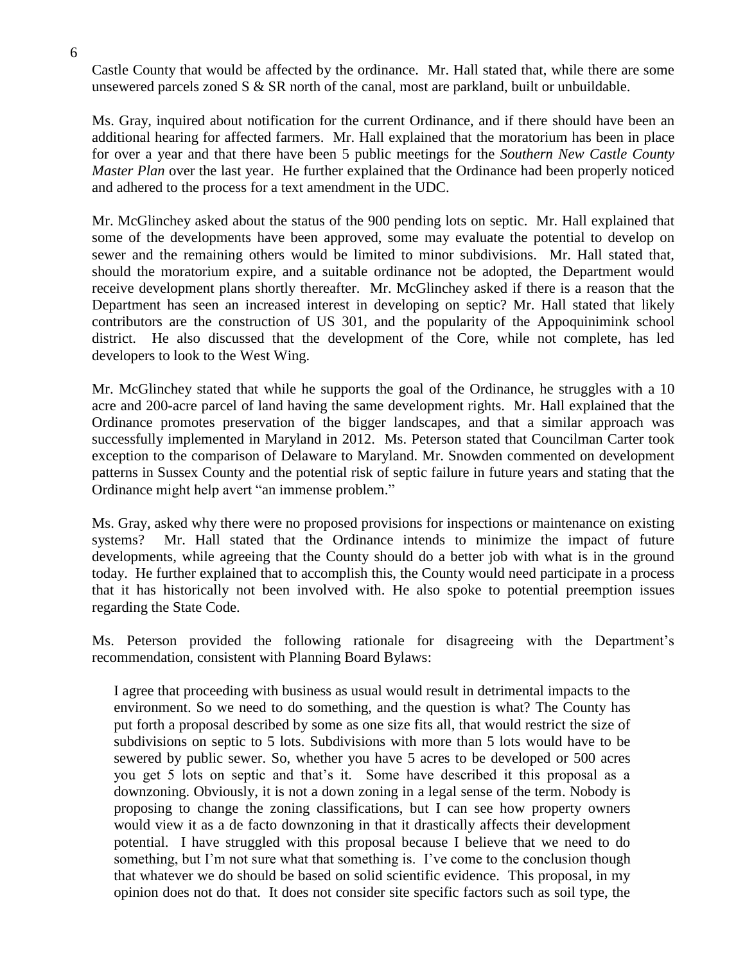Castle County that would be affected by the ordinance. Mr. Hall stated that, while there are some unsewered parcels zoned S & SR north of the canal, most are parkland, built or unbuildable.

Ms. Gray, inquired about notification for the current Ordinance, and if there should have been an additional hearing for affected farmers. Mr. Hall explained that the moratorium has been in place for over a year and that there have been 5 public meetings for the *Southern New Castle County Master Plan* over the last year. He further explained that the Ordinance had been properly noticed and adhered to the process for a text amendment in the UDC.

Mr. McGlinchey asked about the status of the 900 pending lots on septic. Mr. Hall explained that some of the developments have been approved, some may evaluate the potential to develop on sewer and the remaining others would be limited to minor subdivisions. Mr. Hall stated that, should the moratorium expire, and a suitable ordinance not be adopted, the Department would receive development plans shortly thereafter. Mr. McGlinchey asked if there is a reason that the Department has seen an increased interest in developing on septic? Mr. Hall stated that likely contributors are the construction of US 301, and the popularity of the Appoquinimink school district. He also discussed that the development of the Core, while not complete, has led developers to look to the West Wing.

Mr. McGlinchey stated that while he supports the goal of the Ordinance, he struggles with a 10 acre and 200-acre parcel of land having the same development rights. Mr. Hall explained that the Ordinance promotes preservation of the bigger landscapes, and that a similar approach was successfully implemented in Maryland in 2012. Ms. Peterson stated that Councilman Carter took exception to the comparison of Delaware to Maryland. Mr. Snowden commented on development patterns in Sussex County and the potential risk of septic failure in future years and stating that the Ordinance might help avert "an immense problem."

Ms. Gray, asked why there were no proposed provisions for inspections or maintenance on existing systems? Mr. Hall stated that the Ordinance intends to minimize the impact of future developments, while agreeing that the County should do a better job with what is in the ground today. He further explained that to accomplish this, the County would need participate in a process that it has historically not been involved with. He also spoke to potential preemption issues regarding the State Code.

Ms. Peterson provided the following rationale for disagreeing with the Department's recommendation, consistent with Planning Board Bylaws:

I agree that proceeding with business as usual would result in detrimental impacts to the environment. So we need to do something, and the question is what? The County has put forth a proposal described by some as one size fits all, that would restrict the size of subdivisions on septic to 5 lots. Subdivisions with more than 5 lots would have to be sewered by public sewer. So, whether you have 5 acres to be developed or 500 acres you get 5 lots on septic and that's it. Some have described it this proposal as a downzoning. Obviously, it is not a down zoning in a legal sense of the term. Nobody is proposing to change the zoning classifications, but I can see how property owners would view it as a de facto downzoning in that it drastically affects their development potential. I have struggled with this proposal because I believe that we need to do something, but I'm not sure what that something is. I've come to the conclusion though that whatever we do should be based on solid scientific evidence. This proposal, in my opinion does not do that. It does not consider site specific factors such as soil type, the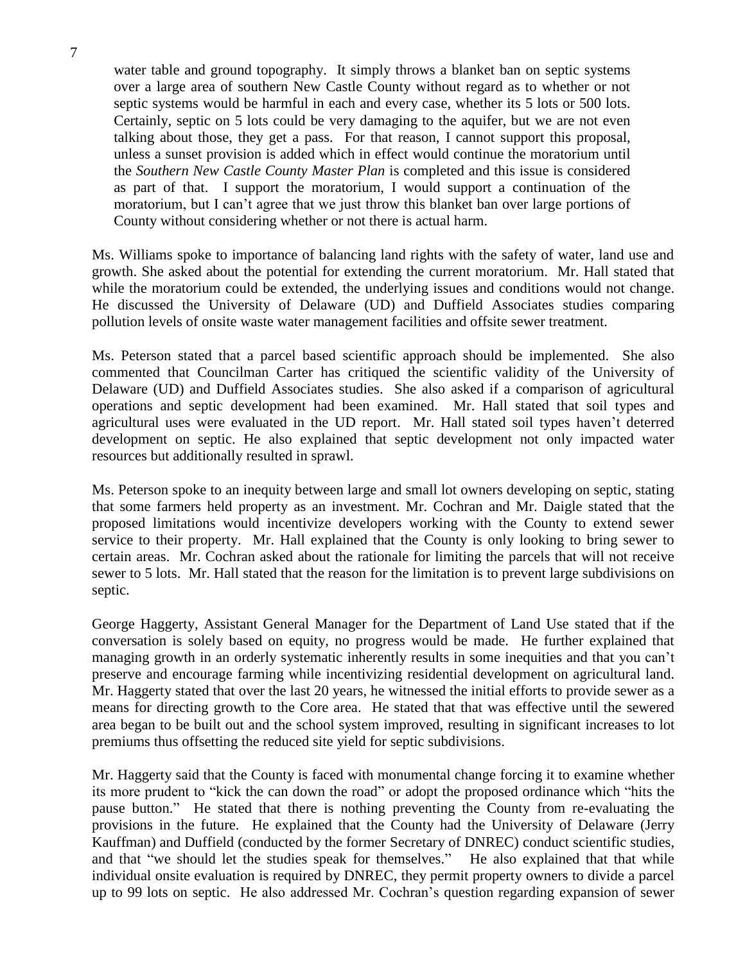water table and ground topography. It simply throws a blanket ban on septic systems over a large area of southern New Castle County without regard as to whether or not septic systems would be harmful in each and every case, whether its 5 lots or 500 lots. Certainly, septic on 5 lots could be very damaging to the aquifer, but we are not even talking about those, they get a pass. For that reason, I cannot support this proposal, unless a sunset provision is added which in effect would continue the moratorium until the *Southern New Castle County Master Plan* is completed and this issue is considered as part of that. I support the moratorium, I would support a continuation of the moratorium, but I can't agree that we just throw this blanket ban over large portions of County without considering whether or not there is actual harm.

Ms. Williams spoke to importance of balancing land rights with the safety of water, land use and growth. She asked about the potential for extending the current moratorium. Mr. Hall stated that while the moratorium could be extended, the underlying issues and conditions would not change. He discussed the University of Delaware (UD) and Duffield Associates studies comparing pollution levels of onsite waste water management facilities and offsite sewer treatment.

Ms. Peterson stated that a parcel based scientific approach should be implemented. She also commented that Councilman Carter has critiqued the scientific validity of the University of Delaware (UD) and Duffield Associates studies. She also asked if a comparison of agricultural operations and septic development had been examined. Mr. Hall stated that soil types and agricultural uses were evaluated in the UD report. Mr. Hall stated soil types haven't deterred development on septic. He also explained that septic development not only impacted water resources but additionally resulted in sprawl.

Ms. Peterson spoke to an inequity between large and small lot owners developing on septic, stating that some farmers held property as an investment. Mr. Cochran and Mr. Daigle stated that the proposed limitations would incentivize developers working with the County to extend sewer service to their property. Mr. Hall explained that the County is only looking to bring sewer to certain areas. Mr. Cochran asked about the rationale for limiting the parcels that will not receive sewer to 5 lots. Mr. Hall stated that the reason for the limitation is to prevent large subdivisions on septic.

George Haggerty, Assistant General Manager for the Department of Land Use stated that if the conversation is solely based on equity, no progress would be made. He further explained that managing growth in an orderly systematic inherently results in some inequities and that you can't preserve and encourage farming while incentivizing residential development on agricultural land. Mr. Haggerty stated that over the last 20 years, he witnessed the initial efforts to provide sewer as a means for directing growth to the Core area. He stated that that was effective until the sewered area began to be built out and the school system improved, resulting in significant increases to lot premiums thus offsetting the reduced site yield for septic subdivisions.

Mr. Haggerty said that the County is faced with monumental change forcing it to examine whether its more prudent to "kick the can down the road" or adopt the proposed ordinance which "hits the pause button." He stated that there is nothing preventing the County from re-evaluating the provisions in the future. He explained that the County had the University of Delaware (Jerry Kauffman) and Duffield (conducted by the former Secretary of DNREC) conduct scientific studies, and that "we should let the studies speak for themselves." He also explained that that while individual onsite evaluation is required by DNREC, they permit property owners to divide a parcel up to 99 lots on septic. He also addressed Mr. Cochran's question regarding expansion of sewer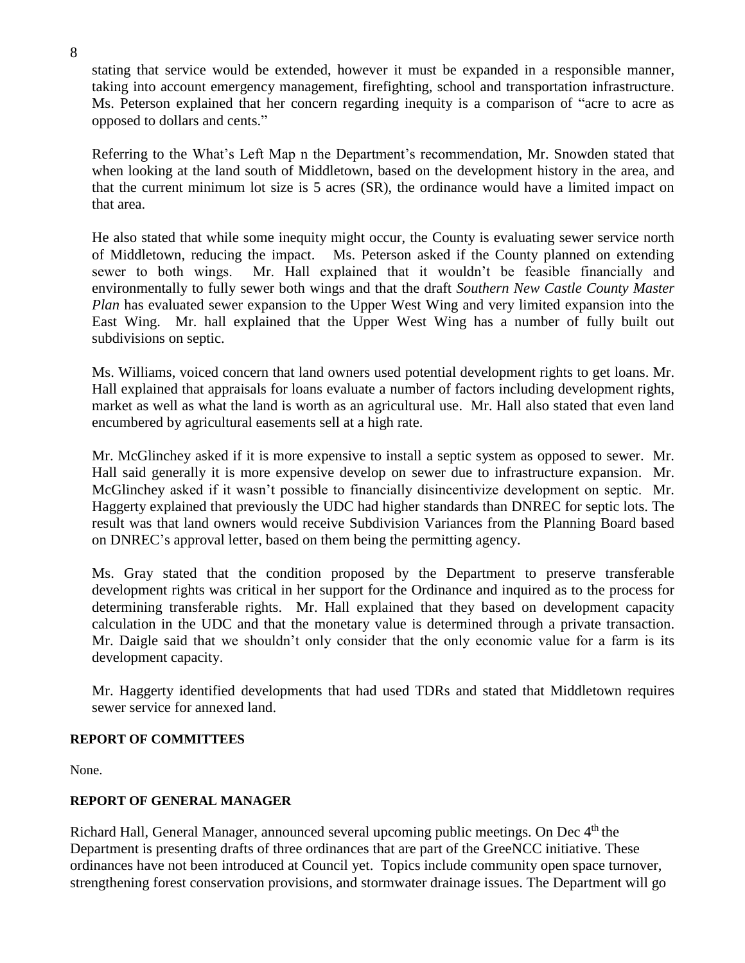stating that service would be extended, however it must be expanded in a responsible manner, taking into account emergency management, firefighting, school and transportation infrastructure. Ms. Peterson explained that her concern regarding inequity is a comparison of "acre to acre as opposed to dollars and cents."

Referring to the What's Left Map n the Department's recommendation, Mr. Snowden stated that when looking at the land south of Middletown, based on the development history in the area, and that the current minimum lot size is 5 acres (SR), the ordinance would have a limited impact on that area.

He also stated that while some inequity might occur, the County is evaluating sewer service north of Middletown, reducing the impact. Ms. Peterson asked if the County planned on extending sewer to both wings. Mr. Hall explained that it wouldn't be feasible financially and environmentally to fully sewer both wings and that the draft *Southern New Castle County Master Plan* has evaluated sewer expansion to the Upper West Wing and very limited expansion into the East Wing. Mr. hall explained that the Upper West Wing has a number of fully built out subdivisions on septic.

Ms. Williams, voiced concern that land owners used potential development rights to get loans. Mr. Hall explained that appraisals for loans evaluate a number of factors including development rights, market as well as what the land is worth as an agricultural use. Mr. Hall also stated that even land encumbered by agricultural easements sell at a high rate.

Mr. McGlinchey asked if it is more expensive to install a septic system as opposed to sewer. Mr. Hall said generally it is more expensive develop on sewer due to infrastructure expansion. Mr. McGlinchey asked if it wasn't possible to financially disincentivize development on septic. Mr. Haggerty explained that previously the UDC had higher standards than DNREC for septic lots. The result was that land owners would receive Subdivision Variances from the Planning Board based on DNREC's approval letter, based on them being the permitting agency.

Ms. Gray stated that the condition proposed by the Department to preserve transferable development rights was critical in her support for the Ordinance and inquired as to the process for determining transferable rights. Mr. Hall explained that they based on development capacity calculation in the UDC and that the monetary value is determined through a private transaction. Mr. Daigle said that we shouldn't only consider that the only economic value for a farm is its development capacity.

Mr. Haggerty identified developments that had used TDRs and stated that Middletown requires sewer service for annexed land.

# **REPORT OF COMMITTEES**

None.

# **REPORT OF GENERAL MANAGER**

Richard Hall, General Manager, announced several upcoming public meetings. On Dec 4<sup>th</sup> the Department is presenting drafts of three ordinances that are part of the GreeNCC initiative. These ordinances have not been introduced at Council yet. Topics include community open space turnover, strengthening forest conservation provisions, and stormwater drainage issues. The Department will go